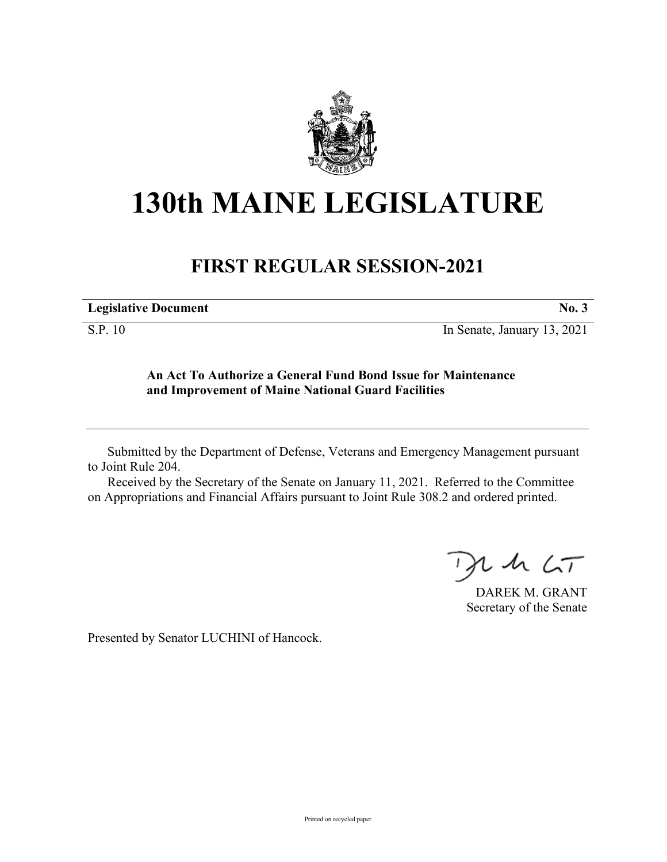

# **130th MAINE LEGISLATURE**

## **FIRST REGULAR SESSION-2021**

| <b>Legislative Document</b> |  |
|-----------------------------|--|
|                             |  |

S.P. 10 In Senate, January 13, 2021

### **An Act To Authorize a General Fund Bond Issue for Maintenance and Improvement of Maine National Guard Facilities**

Submitted by the Department of Defense, Veterans and Emergency Management pursuant to Joint Rule 204.

Received by the Secretary of the Senate on January 11, 2021. Referred to the Committee on Appropriations and Financial Affairs pursuant to Joint Rule 308.2 and ordered printed.

 $2.42 < \tau$ 

DAREK M. GRANT Secretary of the Senate

Presented by Senator LUCHINI of Hancock.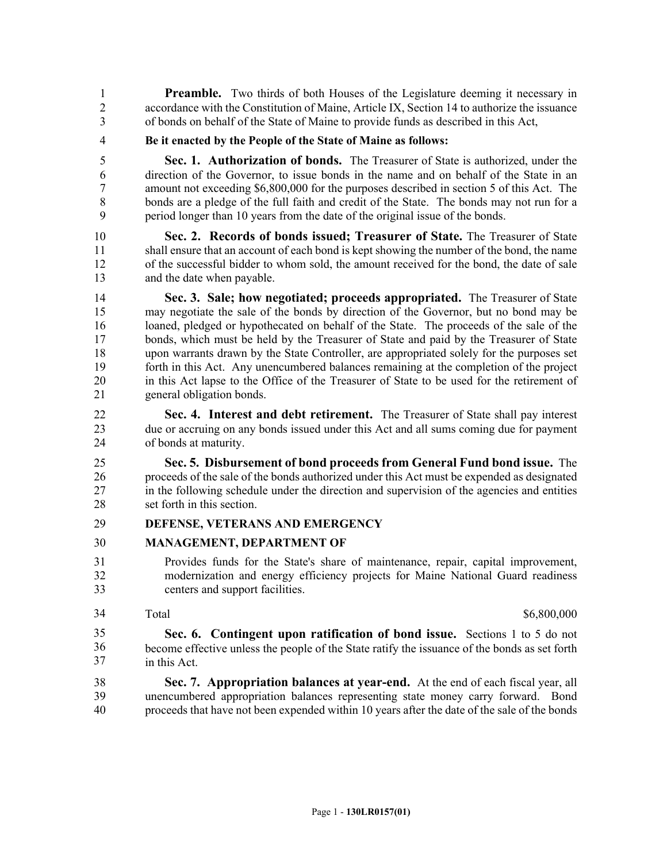**Preamble.** Two thirds of both Houses of the Legislature deeming it necessary in 2 accordance with the Constitution of Maine, Article IX, Section 14 to authorize the issuance 3 of bonds on behalf of the State of Maine to provide funds as described in this Act,

4 **Be it enacted by the People of the State of Maine as follows:**

5 **Sec. 1. Authorization of bonds.** The Treasurer of State is authorized, under the 6 direction of the Governor, to issue bonds in the name and on behalf of the State in an 7 amount not exceeding \$6,800,000 for the purposes described in section 5 of this Act. The 8 bonds are a pledge of the full faith and credit of the State. The bonds may not run for a 9 period longer than 10 years from the date of the original issue of the bonds.

10 **Sec. 2. Records of bonds issued; Treasurer of State.** The Treasurer of State 11 shall ensure that an account of each bond is kept showing the number of the bond, the name 12 of the successful bidder to whom sold, the amount received for the bond, the date of sale 13 and the date when payable.

14 **Sec. 3. Sale; how negotiated; proceeds appropriated.** The Treasurer of State 15 may negotiate the sale of the bonds by direction of the Governor, but no bond may be 16 loaned, pledged or hypothecated on behalf of the State. The proceeds of the sale of the 17 bonds, which must be held by the Treasurer of State and paid by the Treasurer of State 18 upon warrants drawn by the State Controller, are appropriated solely for the purposes set 19 forth in this Act. Any unencumbered balances remaining at the completion of the project 20 in this Act lapse to the Office of the Treasurer of State to be used for the retirement of 21 general obligation bonds.

22 **Sec. 4. Interest and debt retirement.** The Treasurer of State shall pay interest 23 due or accruing on any bonds issued under this Act and all sums coming due for payment 24 of bonds at maturity.

25 **Sec. 5. Disbursement of bond proceeds from General Fund bond issue.** The 26 proceeds of the sale of the bonds authorized under this Act must be expended as designated 27 in the following schedule under the direction and supervision of the agencies and entities 28 set forth in this section.

#### 29 **DEFENSE, VETERANS AND EMERGENCY**

#### 30 **MANAGEMENT, DEPARTMENT OF**

- 31 Provides funds for the State's share of maintenance, repair, capital improvement, 32 modernization and energy efficiency projects for Maine National Guard readiness 33 centers and support facilities.
- 34

Total \$6,800,000 \$6,800,000 \$6,800,000 \$6,800,000 \$6,800,000 \$6,800 \$6,800 \$6,800 \$6,800 \$6,800 \$6,800 \$6,800 \$6,800 \$6,800 \$6,800 \$6,800 \$6,800 \$6,800 \$6,800 \$6,800 \$6,800 \$6,800 \$6,800 \$6,800 \$6,800 \$6,800 \$6,800 \$6,800

Sec. 6. Contingent upon ratification of bond issue. Sections 1 to 5 do not 35 become effective unless the people of the State ratify the issuance of the bonds as set forth in this Act. 35 36 37

38 **Sec. 7. Appropriation balances at year-end.** At the end of each fiscal year, all 39 unencumbered appropriation balances representing state money carry forward. Bond 40 proceeds that have not been expended within 10 years after the date of the sale of the bonds